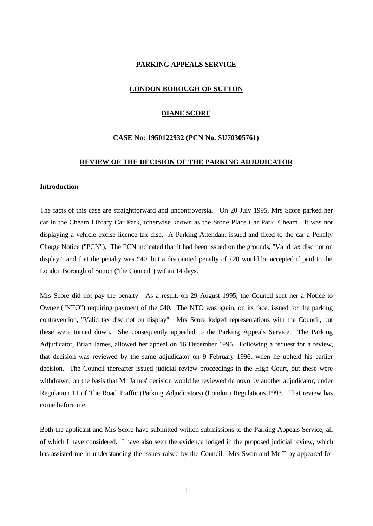#### **PARKING APPEALS SERVICE**

#### **LONDON BOROUGH OF SUTTON**

# **DIANE SCORE**

#### **CASE No: 1950122932 (PCN No. SU70305761)**

## **REVIEW OF THE DECISION OF THE PARKING ADJUDICATOR**

#### **Introduction**

The facts of this case are straightforward and uncontroversial. On 20 July 1995, Mrs Score parked her car in the Cheam Library Car Park, otherwise known as the Stone Place Car Park, Cheam. It was not displaying a vehicle excise licence tax disc. A Parking Attendant issued and fixed to the car a Penalty Charge Notice ("PCN"). The PCN indicated that it had been issued on the grounds, "Valid tax disc not on display": and that the penalty was £40, but a discounted penalty of £20 would be accepted if paid to the London Borough of Sutton ("the Council") within 14 days.

Mrs Score did not pay the penalty. As a result, on 29 August 1995, the Council sent her a Notice to Owner ("NTO") requiring payment of the £40. The NTO was again, on its face, issued for the parking contravention, "Valid tax disc not on display". Mrs Score lodged representations with the Council, but these were turned down. She consequently appealed to the Parking Appeals Service. The Parking Adjudicator, Brian James, allowed her appeal on 16 December 1995. Following a request for a review, that decision was reviewed by the same adjudicator on 9 February 1996, when he upheld his earlier decision. The Council thereafter issued judicial review proceedings in the High Court, but these were withdrawn, on the basis that Mr James' decision would be reviewed de novo by another adjudicator, under Regulation 11 of The Road Traffic (Parking Adjudicators) (London) Regulations 1993. That review has come before me.

Both the applicant and Mrs Score have submitted written submissions to the Parking Appeals Service, all of which I have considered. I have also seen the evidence lodged in the proposed judicial review, which has assisted me in understanding the issues raised by the Council. Mrs Swan and Mr Troy appeared for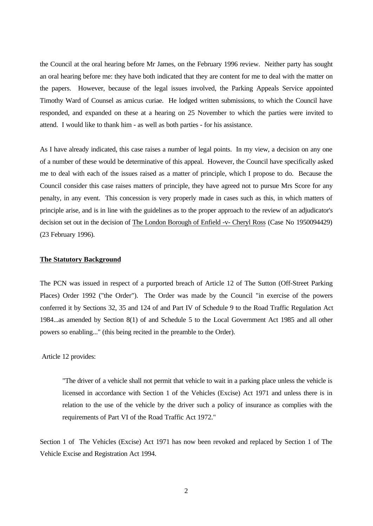the Council at the oral hearing before Mr James, on the February 1996 review. Neither party has sought an oral hearing before me: they have both indicated that they are content for me to deal with the matter on the papers. However, because of the legal issues involved, the Parking Appeals Service appointed Timothy Ward of Counsel as amicus curiae. He lodged written submissions, to which the Council have responded, and expanded on these at a hearing on 25 November to which the parties were invited to attend. I would like to thank him - as well as both parties - for his assistance.

As I have already indicated, this case raises a number of legal points. In my view, a decision on any one of a number of these would be determinative of this appeal. However, the Council have specifically asked me to deal with each of the issues raised as a matter of principle, which I propose to do. Because the Council consider this case raises matters of principle, they have agreed not to pursue Mrs Score for any penalty, in any event. This concession is very properly made in cases such as this, in which matters of principle arise, and is in line with the guidelines as to the proper approach to the review of an adjudicator's decision set out in the decision of The London Borough of Enfield -v- Cheryl Ross (Case No 1950094429) (23 February 1996).

#### **The Statutory Background**

The PCN was issued in respect of a purported breach of Article 12 of The Sutton (Off-Street Parking Places) Order 1992 ("the Order"). The Order was made by the Council "in exercise of the powers conferred it by Sections 32, 35 and 124 of and Part IV of Schedule 9 to the Road Traffic Regulation Act 1984...as amended by Section 8(1) of and Schedule 5 to the Local Government Act 1985 and all other powers so enabling..." (this being recited in the preamble to the Order).

# Article 12 provides:

"The driver of a vehicle shall not permit that vehicle to wait in a parking place unless the vehicle is licensed in accordance with Section 1 of the Vehicles (Excise) Act 1971 and unless there is in relation to the use of the vehicle by the driver such a policy of insurance as complies with the requirements of Part VI of the Road Traffic Act 1972."

Section 1 of The Vehicles (Excise) Act 1971 has now been revoked and replaced by Section 1 of The Vehicle Excise and Registration Act 1994.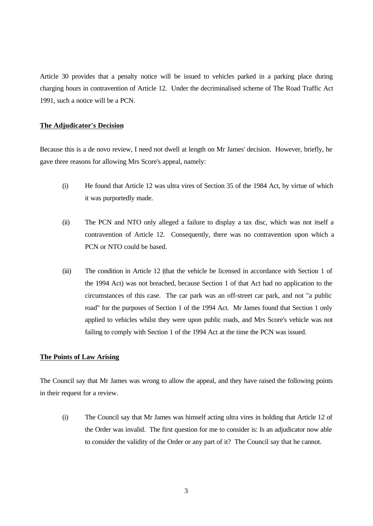Article 30 provides that a penalty notice will be issued to vehicles parked in a parking place during charging hours in contravention of Article 12. Under the decriminalised scheme of The Road Traffic Act 1991, such a notice will be a PCN.

# **The Adjudicator's Decision**

Because this is a de novo review, I need not dwell at length on Mr James' decision. However, briefly, he gave three reasons for allowing Mrs Score's appeal, namely:

- (i) He found that Article 12 was ultra vires of Section 35 of the 1984 Act, by virtue of which it was purportedly made.
- (ii) The PCN and NTO only alleged a failure to display a tax disc, which was not itself a contravention of Article 12. Consequently, there was no contravention upon which a PCN or NTO could be based.
- (iii) The condition in Article 12 (that the vehicle be licensed in accordance with Section 1 of the 1994 Act) was not breached, because Section 1 of that Act had no application to the circumstances of this case. The car park was an off-street car park, and not "a public road" for the purposes of Section 1 of the 1994 Act. Mr James found that Section 1 only applied to vehicles whilst they were upon public roads, and Mrs Score's vehicle was not failing to comply with Section 1 of the 1994 Act at the time the PCN was issued.

#### **The Points of Law Arising**

The Council say that Mr James was wrong to allow the appeal, and they have raised the following points in their request for a review.

(i) The Council say that Mr James was himself acting ultra vires in holding that Article 12 of the Order was invalid. The first question for me to consider is: Is an adjudicator now able to consider the validity of the Order or any part of it? The Council say that he cannot.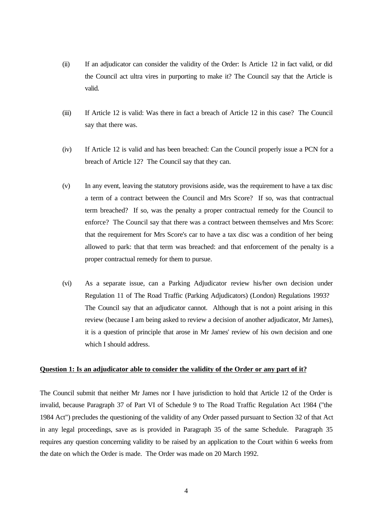- (ii) If an adjudicator can consider the validity of the Order: Is Article 12 in fact valid, or did the Council act ultra vires in purporting to make it? The Council say that the Article is valid.
- (iii) If Article 12 is valid: Was there in fact a breach of Article 12 in this case? The Council say that there was.
- (iv) If Article 12 is valid and has been breached: Can the Council properly issue a PCN for a breach of Article 12? The Council say that they can.
- (v) In any event, leaving the statutory provisions aside, was the requirement to have a tax disc a term of a contract between the Council and Mrs Score? If so, was that contractual term breached? If so, was the penalty a proper contractual remedy for the Council to enforce? The Council say that there was a contract between themselves and Mrs Score: that the requirement for Mrs Score's car to have a tax disc was a condition of her being allowed to park: that that term was breached: and that enforcement of the penalty is a proper contractual remedy for them to pursue.
- (vi) As a separate issue, can a Parking Adjudicator review his/her own decision under Regulation 11 of The Road Traffic (Parking Adjudicators) (London) Regulations 1993? The Council say that an adjudicator cannot. Although that is not a point arising in this review (because I am being asked to review a decision of another adjudicator, Mr James), it is a question of principle that arose in Mr James' review of his own decision and one which I should address.

# **Question 1: Is an adjudicator able to consider the validity of the Order or any part of it?**

The Council submit that neither Mr James nor I have jurisdiction to hold that Article 12 of the Order is invalid, because Paragraph 37 of Part VI of Schedule 9 to The Road Traffic Regulation Act 1984 ("the 1984 Act") precludes the questioning of the validity of any Order passed pursuant to Section 32 of that Act in any legal proceedings, save as is provided in Paragraph 35 of the same Schedule. Paragraph 35 requires any question concerning validity to be raised by an application to the Court within 6 weeks from the date on which the Order is made. The Order was made on 20 March 1992.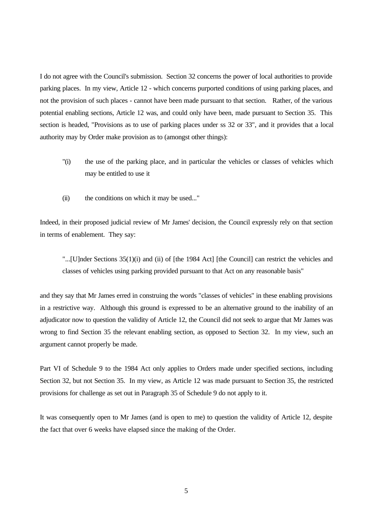I do not agree with the Council's submission. Section 32 concerns the power of local authorities to provide parking places. In my view, Article 12 - which concerns purported conditions of using parking places, and not the provision of such places - cannot have been made pursuant to that section. Rather, of the various potential enabling sections, Article 12 was, and could only have been, made pursuant to Section 35. This section is headed, "Provisions as to use of parking places under ss 32 or 33", and it provides that a local authority may by Order make provision as to (amongst other things):

- "(i) the use of the parking place, and in particular the vehicles or classes of vehicles which may be entitled to use it
- (ii) the conditions on which it may be used..."

Indeed, in their proposed judicial review of Mr James' decision, the Council expressly rely on that section in terms of enablement. They say:

"...[U]nder Sections 35(1)(i) and (ii) of [the 1984 Act] [the Council] can restrict the vehicles and classes of vehicles using parking provided pursuant to that Act on any reasonable basis"

and they say that Mr James erred in construing the words "classes of vehicles" in these enabling provisions in a restrictive way. Although this ground is expressed to be an alternative ground to the inability of an adjudicator now to question the validity of Article 12, the Council did not seek to argue that Mr James was wrong to find Section 35 the relevant enabling section, as opposed to Section 32. In my view, such an argument cannot properly be made.

Part VI of Schedule 9 to the 1984 Act only applies to Orders made under specified sections, including Section 32, but not Section 35. In my view, as Article 12 was made pursuant to Section 35, the restricted provisions for challenge as set out in Paragraph 35 of Schedule 9 do not apply to it.

It was consequently open to Mr James (and is open to me) to question the validity of Article 12, despite the fact that over 6 weeks have elapsed since the making of the Order.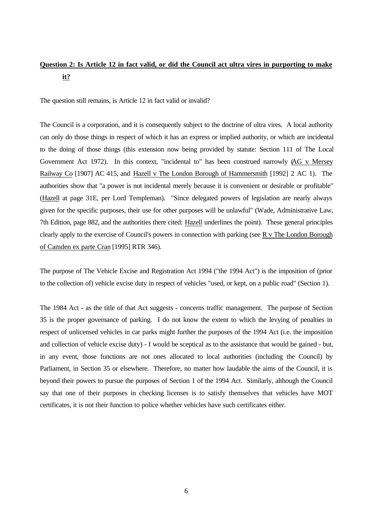# **Question 2: Is Article 12 in fact valid, or did the Council act ultra vires in purporting to make it?**

The question still remains, is Article 12 in fact valid or invalid?

The Council is a corporation, and it is consequently subject to the doctrine of ultra vires. A local authority can only do those things in respect of which it has an express or implied authority, or which are incidental to the doing of those things (this extension now being provided by statute: Section 111 of The Local Government Act 1972). In this context, "incidental to" has been construed narrowly (AG v Mersey Railway Co [1907] AC 415, and Hazell v The London Borough of Hammersmith [1992] 2 AC 1). The authorities show that "a power is not incidental merely because it is convenient or desirable or profitable" (Hazell at page 31E, per Lord Templeman). "Since delegated powers of legislation are nearly always given for the specific purposes, their use for other purposes will be unlawful" (Wade, Administrative Law, 7th Edition, page 882, and the authorities there cited: Hazell underlines the point). These general principles clearly apply to the exercise of Council's powers in connection with parking (see R v The London Borough of Camden ex parte Cran [1995] RTR 346).

The purpose of The Vehicle Excise and Registration Act 1994 ("the 1994 Act") is the imposition of (prior to the collection of) vehicle excise duty in respect of vehicles "used, or kept, on a public road" (Section 1).

The 1984 Act - as the title of that Act suggests - concerns traffic management. The purpose of Section 35 is the proper governance of parking. I do not know the extent to which the levying of penalties in respect of unlicensed vehicles in car parks might further the purposes of the 1994 Act (i.e. the imposition and collection of vehicle excise duty) - I would be sceptical as to the assistance that would be gained - but, in any event, those functions are not ones allocated to local authorities (including the Council) by Parliament, in Section 35 or elsewhere. Therefore, no matter how laudable the aims of the Council, it is beyond their powers to pursue the purposes of Section 1 of the 1994 Act. Similarly, although the Council say that one of their purposes in checking licenses is to satisfy themselves that vehicles have MOT certificates, it is not their function to police whether vehicles have such certificates either.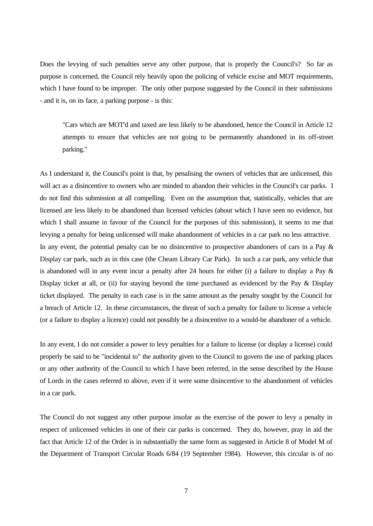Does the levying of such penalties serve any other purpose, that is properly the Council's? So far as purpose is concerned, the Council rely heavily upon the policing of vehicle excise and MOT requirements, which I have found to be improper. The only other purpose suggested by the Council in their submissions - and it is, on its face, a parking purpose - is this:

"Cars which are MOT'd and taxed are less likely to be abandoned, hence the Council in Article 12 attempts to ensure that vehicles are not going to be permanently abandoned in its off-street parking."

As I understand it, the Council's point is that, by penalising the owners of vehicles that are unlicensed, this will act as a disincentive to owners who are minded to abandon their vehicles in the Council's car parks. I do not find this submission at all compelling. Even on the assumption that, statistically, vehicles that are licensed are less likely to be abandoned than licensed vehicles (about which I have seen no evidence, but which I shall assume in favour of the Council for the purposes of this submission), it seems to me that levying a penalty for being unlicensed will make abandonment of vehicles in a car park no less attractive. In any event, the potential penalty can be no disincentive to prospective abandoners of cars in a Pay  $\&$ Display car park, such as in this case (the Cheam Library Car Park). In such a car park, any vehicle that is abandoned will in any event incur a penalty after 24 hours for either (i) a failure to display a Pay & Display ticket at all, or (ii) for staying beyond the time purchased as evidenced by the Pay & Display ticket displayed. The penalty in each case is in the same amount as the penalty sought by the Council for a breach of Article 12. In these circumstances, the threat of such a penalty for failure to license a vehicle (or a failure to display a licence) could not possibly be a disincentive to a would-be abandoner of a vehicle.

In any event, I do not consider a power to levy penalties for a failure to license (or display a license) could properly be said to be "incidental to" the authority given to the Council to govern the use of parking places or any other authority of the Council to which I have been referred, in the sense described by the House of Lords in the cases referred to above, even if it were some disincentive to the abandonment of vehicles in a car park.

The Council do not suggest any other purpose insofar as the exercise of the power to levy a penalty in respect of unlicensed vehicles in one of their car parks is concerned. They do, however, pray in aid the fact that Article 12 of the Order is in substantially the same form as suggested in Article 8 of Model M of the Department of Transport Circular Roads 6/84 (19 September 1984). However, this circular is of no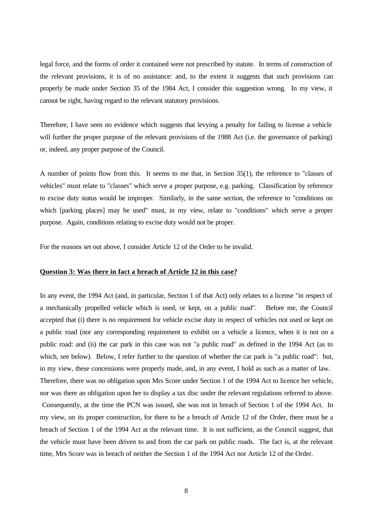legal force, and the forms of order it contained were not prescribed by statute. In terms of construction of the relevant provisions, it is of no assistance: and, to the extent it suggests that such provisions can properly be made under Section 35 of the 1984 Act, I consider this suggestion wrong. In my view, it cannot be right, having regard to the relevant statutory provisions.

Therefore, I have seen no evidence which suggests that levying a penalty for failing to license a vehicle will further the proper purpose of the relevant provisions of the 1988 Act (i.e. the governance of parking) or, indeed, any proper purpose of the Council.

A number of points flow from this. It seems to me that, in Section 35(1), the reference to "classes of vehicles" must relate to "classes" which serve a proper purpose, e.g. parking. Classification by reference to excise duty status would be improper. Similarly, in the same section, the reference to "conditions on which [parking places] may be used" must, in my view, relate to "conditions" which serve a proper purpose. Again, conditions relating to excise duty would not be proper.

For the reasons set out above, I consider Article 12 of the Order to be invalid.

# **Question 3: Was there in fact a breach of Article 12 in this case?**

In any event, the 1994 Act (and, in particular, Section 1 of that Act) only relates to a license "in respect of a mechanically propelled vehicle which is used, or kept, on a public road". Before me, the Council accepted that (i) there is no requirement for vehicle excise duty in respect of vehicles not used or kept on a public road (nor any corresponding requirement to exhibit on a vehicle a licence, when it is not on a public road: and (ii) the car park in this case was not "a public road" as defined in the 1994 Act (as to which, see below). Below, I refer further to the question of whether the car park is "a public road": but, in my view, these concessions were properly made, and, in any event, I hold as such as a matter of law. Therefore, there was no obligation upon Mrs Score under Section 1 of the 1994 Act to licence her vehicle, nor was there an obligation upon her to display a tax disc under the relevant regulations referred to above. Consequently, at the time the PCN was issued, she was not in breach of Section 1 of the 1994 Act. In my view, on its proper construction, for there to be a breach of Article 12 of the Order, there must be a breach of Section 1 of the 1994 Act at the relevant time. It is not sufficient, as the Council suggest, that the vehicle must have been driven to and from the car park on public roads. The fact is, at the relevant time, Mrs Score was in breach of neither the Section 1 of the 1994 Act nor Article 12 of the Order.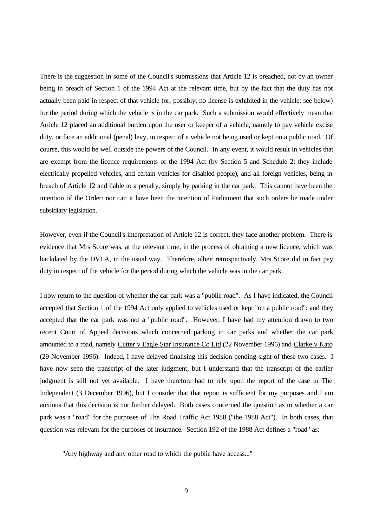There is the suggestion in some of the Council's submissions that Article 12 is breached, not by an owner being in breach of Section 1 of the 1994 Act at the relevant time, but by the fact that the duty has not actually been paid in respect of that vehicle (or, possibly, no license is exhibited in the vehicle: see below) for the period during which the vehicle is in the car park. Such a submission would effectively mean that Article 12 placed an additional burden upon the user or keeper of a vehicle, namely to pay vehicle excise duty, or face an additional (penal) levy, in respect of a vehicle not being used or kept on a public road. Of course, this would be well outside the powers of the Council. In any event, it would result in vehicles that are exempt from the licence requirements of the 1994 Act (by Section 5 and Schedule 2: they include electrically propelled vehicles, and certain vehicles for disabled people), and all foreign vehicles, being in breach of Article 12 and liable to a penalty, simply by parking in the car park. This cannot have been the intention of the Order: nor can it have been the intention of Parliament that such orders be made under subsidiary legislation.

However, even if the Council's interpretation of Article 12 is correct, they face another problem. There is evidence that Mrs Score was, at the relevant time, in the process of obtaining a new licence, which was backdated by the DVLA, in the usual way. Therefore, albeit retrospectively, Mrs Score did in fact pay duty in respect of the vehicle for the period during which the vehicle was in the car park.

I now return to the question of whether the car park was a "public road". As I have indicated, the Council accepted that Section 1 of the 1994 Act only applied to vehicles used or kept "on a public road": and they accepted that the car park was not a "public road". However, I have had my attention drawn to two recent Court of Appeal decisions which concerned parking in car parks and whether the car park amounted to a road, namely Cutter v Eagle Star Insurance Co Ltd (22 November 1996) and Clarke v Kato (29 November 1996). Indeed, I have delayed finalising this decision pending sight of these two cases. I have now seen the transcript of the later judgment, but I understand that the transcript of the earlier judgment is still not yet available. I have therefore had to rely upon the report of the case in The Independent (3 December 1996), but I consider that that report is sufficient for my purposes and I am anxious that this decision is not further delayed. Both cases concerned the question as to whether a car park was a "road" for the purposes of The Road Traffic Act 1988 ("the 1988 Act"). In both cases, that question was relevant for the purposes of insurance. Section 192 of the 1988 Act defines a "road" as:

"Any highway and any other road to which the public have access..."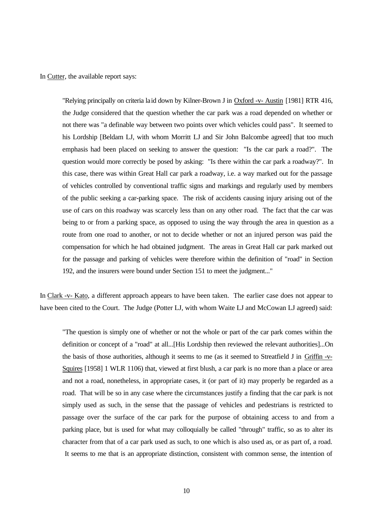In Cutter, the available report says:

"Relying principally on criteria laid down by Kilner-Brown J in Oxford -v- Austin [1981] RTR 416, the Judge considered that the question whether the car park was a road depended on whether or not there was "a definable way between two points over which vehicles could pass". It seemed to his Lordship [Beldam LJ, with whom Morritt LJ and Sir John Balcombe agreed] that too much emphasis had been placed on seeking to answer the question: "Is the car park a road?". The question would more correctly be posed by asking: "Is there within the car park a roadway?". In this case, there was within Great Hall car park a roadway, i.e. a way marked out for the passage of vehicles controlled by conventional traffic signs and markings and regularly used by members of the public seeking a car-parking space. The risk of accidents causing injury arising out of the use of cars on this roadway was scarcely less than on any other road. The fact that the car was being to or from a parking space, as opposed to using the way through the area in question as a route from one road to another, or not to decide whether or not an injured person was paid the compensation for which he had obtained judgment. The areas in Great Hall car park marked out for the passage and parking of vehicles were therefore within the definition of "road" in Section 192, and the insurers were bound under Section 151 to meet the judgment..."

In Clark -v- Kato, a different approach appears to have been taken. The earlier case does not appear to have been cited to the Court. The Judge (Potter LJ, with whom Waite LJ and McCowan LJ agreed) said:

"The question is simply one of whether or not the whole or part of the car park comes within the definition or concept of a "road" at all...[His Lordship then reviewed the relevant authorities]...On the basis of those authorities, although it seems to me (as it seemed to Streatfield J in Griffin -v-Squires [1958] 1 WLR 1106) that, viewed at first blush, a car park is no more than a place or area and not a road, nonetheless, in appropriate cases, it (or part of it) may properly be regarded as a road. That will be so in any case where the circumstances justify a finding that the car park is not simply used as such, in the sense that the passage of vehicles and pedestrians is restricted to passage over the surface of the car park for the purpose of obtaining access to and from a parking place, but is used for what may colloquially be called "through" traffic, so as to alter its character from that of a car park used as such, to one which is also used as, or as part of, a road. It seems to me that is an appropriate distinction, consistent with common sense, the intention of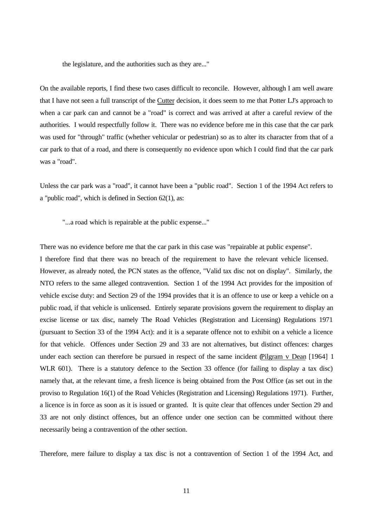the legislature, and the authorities such as they are..."

On the available reports, I find these two cases difficult to reconcile. However, although I am well aware that I have not seen a full transcript of the Cutter decision, it does seem to me that Potter LJ's approach to when a car park can and cannot be a "road" is correct and was arrived at after a careful review of the authorities. I would respectfully follow it. There was no evidence before me in this case that the car park was used for "through" traffic (whether vehicular or pedestrian) so as to alter its character from that of a car park to that of a road, and there is consequently no evidence upon which I could find that the car park was a "road".

Unless the car park was a "road", it cannot have been a "public road". Section 1 of the 1994 Act refers to a "public road", which is defined in Section 62(1), as:

"...a road which is repairable at the public expense..."

There was no evidence before me that the car park in this case was "repairable at public expense".

I therefore find that there was no breach of the requirement to have the relevant vehicle licensed. However, as already noted, the PCN states as the offence, "Valid tax disc not on display". Similarly, the NTO refers to the same alleged contravention. Section 1 of the 1994 Act provides for the imposition of vehicle excise duty: and Section 29 of the 1994 provides that it is an offence to use or keep a vehicle on a public road, if that vehicle is unlicensed. Entirely separate provisions govern the requirement to display an excise license or tax disc, namely The Road Vehicles (Registration and Licensing) Regulations 1971 (pursuant to Section 33 of the 1994 Act): and it is a separate offence not to exhibit on a vehicle a licence for that vehicle. Offences under Section 29 and 33 are not alternatives, but distinct offences: charges under each section can therefore be pursued in respect of the same incident (Pilgram v Dean [1964] 1 WLR 601). There is a statutory defence to the Section 33 offence (for failing to display a tax disc) namely that, at the relevant time, a fresh licence is being obtained from the Post Office (as set out in the proviso to Regulation 16(1) of the Road Vehicles (Registration and Licensing) Regulations 1971). Further, a licence is in force as soon as it is issued or granted. It is quite clear that offences under Section 29 and 33 are not only distinct offences, but an offence under one section can be committed without there necessarily being a contravention of the other section.

Therefore, mere failure to display a tax disc is not a contravention of Section 1 of the 1994 Act, and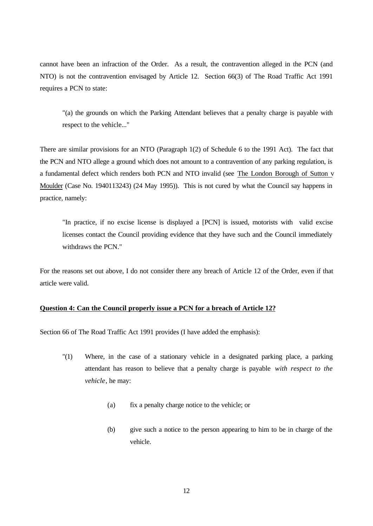cannot have been an infraction of the Order. As a result, the contravention alleged in the PCN (and NTO) is not the contravention envisaged by Article 12. Section 66(3) of The Road Traffic Act 1991 requires a PCN to state:

"(a) the grounds on which the Parking Attendant believes that a penalty charge is payable with respect to the vehicle..."

There are similar provisions for an NTO (Paragraph 1(2) of Schedule 6 to the 1991 Act). The fact that the PCN and NTO allege a ground which does not amount to a contravention of any parking regulation, is a fundamental defect which renders both PCN and NTO invalid (see The London Borough of Sutton v Moulder (Case No. 1940113243) (24 May 1995)). This is not cured by what the Council say happens in practice, namely:

"In practice, if no excise license is displayed a [PCN] is issued, motorists with valid excise licenses contact the Council providing evidence that they have such and the Council immediately withdraws the PCN."

For the reasons set out above, I do not consider there any breach of Article 12 of the Order, even if that article were valid.

# **Question 4: Can the Council properly issue a PCN for a breach of Article 12?**

Section 66 of The Road Traffic Act 1991 provides (I have added the emphasis):

- "(1) Where, in the case of a stationary vehicle in a designated parking place, a parking attendant has reason to believe that a penalty charge is payable *with respect to the vehicle*, he may:
	- (a) fix a penalty charge notice to the vehicle; or
	- (b) give such a notice to the person appearing to him to be in charge of the vehicle.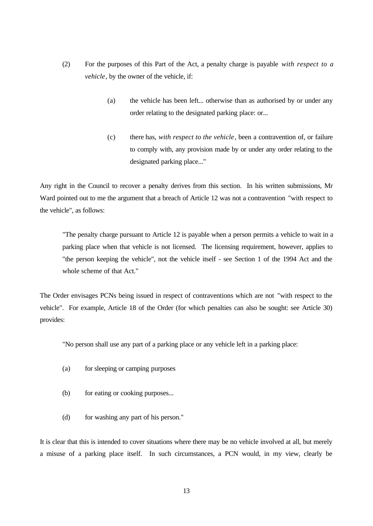- (2) For the purposes of this Part of the Act, a penalty charge is payable *with respect to a vehicle*, by the owner of the vehicle, if:
	- (a) the vehicle has been left... otherwise than as authorised by or under any order relating to the designated parking place: or...
	- (c) there has, *with respect to the vehicle*, been a contravention of, or failure to comply with, any provision made by or under any order relating to the designated parking place..."

Any right in the Council to recover a penalty derives from this section. In his written submissions, Mr Ward pointed out to me the argument that a breach of Article 12 was not a contravention *"*with respect to the vehicle", as follows:

"The penalty charge pursuant to Article 12 is payable when a person permits a vehicle to wait in a parking place when that vehicle is not licensed. The licensing requirement, however, applies to "the person keeping the vehicle", not the vehicle itself - see Section 1 of the 1994 Act and the whole scheme of that Act."

The Order envisages PCNs being issued in respect of contraventions which are not *"*with respect to the vehicle". For example, Article 18 of the Order (for which penalties can also be sought: see Article 30) provides:

"No person shall use any part of a parking place or any vehicle left in a parking place:

- (a) for sleeping or camping purposes
- (b) for eating or cooking purposes...
- (d) for washing any part of his person."

It is clear that this is intended to cover situations where there may be no vehicle involved at all, but merely a misuse of a parking place itself. In such circumstances, a PCN would, in my view, clearly be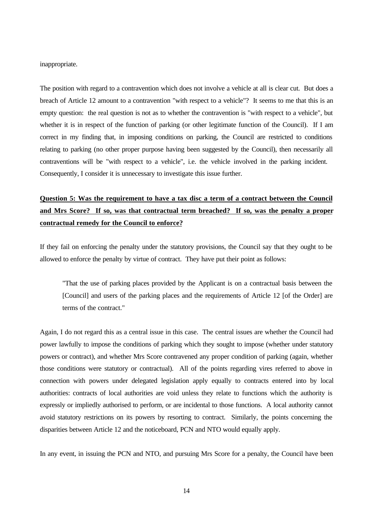inappropriate.

The position with regard to a contravention which does not involve a vehicle at all is clear cut. But does a breach of Article 12 amount to a contravention "with respect to a vehicle"? It seems to me that this is an empty question: the real question is not as to whether the contravention is "with respect to a vehicle", but whether it is in respect of the function of parking (or other legitimate function of the Council). If I am correct in my finding that, in imposing conditions on parking, the Council are restricted to conditions relating to parking (no other proper purpose having been suggested by the Council), then necessarily all contraventions will be "with respect to a vehicle", i.e. the vehicle involved in the parking incident. Consequently, I consider it is unnecessary to investigate this issue further.

# **Question 5: Was the requirement to have a tax disc a term of a contract between the Council and Mrs Score? If so, was that contractual term breached? If so, was the penalty a proper contractual remedy for the Council to enforce?**

If they fail on enforcing the penalty under the statutory provisions, the Council say that they ought to be allowed to enforce the penalty by virtue of contract. They have put their point as follows:

"That the use of parking places provided by the Applicant is on a contractual basis between the [Council] and users of the parking places and the requirements of Article 12 [of the Order] are terms of the contract."

Again, I do not regard this as a central issue in this case. The central issues are whether the Council had power lawfully to impose the conditions of parking which they sought to impose (whether under statutory powers or contract), and whether Mrs Score contravened any proper condition of parking (again, whether those conditions were statutory or contractual). All of the points regarding vires referred to above in connection with powers under delegated legislation apply equally to contracts entered into by local authorities: contracts of local authorities are void unless they relate to functions which the authority is expressly or impliedly authorised to perform, or are incidental to those functions. A local authority cannot avoid statutory restrictions on its powers by resorting to contract. Similarly, the points concerning the disparities between Article 12 and the noticeboard, PCN and NTO would equally apply.

In any event, in issuing the PCN and NTO, and pursuing Mrs Score for a penalty, the Council have been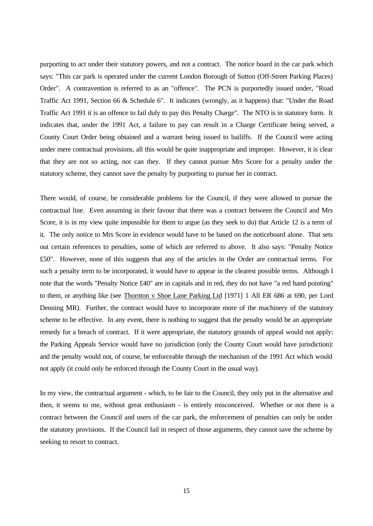purporting to act under their statutory powers, and not a contract. The notice board in the car park which says: "This car park is operated under the current London Borough of Sutton (Off-Street Parking Places) Order". A contravention is referred to as an "offence". The PCN is purportedly issued under, "Road Traffic Act 1991, Section 66 & Schedule 6". It indicates (wrongly, as it happens) that: "Under the Road Traffic Act 1991 it is an offence to fail duly to pay this Penalty Charge". The NTO is in statutory form. It indicates that, under the 1991 Act, a failure to pay can result in a Charge Certificate being served, a County Court Order being obtained and a warrant being issued to bailiffs. If the Council were acting under mere contractual provisions, all this would be quite inappropriate and improper. However, it is clear that they are not so acting, nor can they. If they cannot pursue Mrs Score for a penalty under the statutory scheme, they cannot save the penalty by purporting to pursue her in contract.

There would, of course, be considerable problems for the Council, if they were allowed to pursue the contractual line. Even assuming in their favour that there was a contract between the Council and Mrs Score, it is in my view quite impossible for them to argue (as they seek to do) that Article 12 is a term of it. The only notice to Mrs Score in evidence would have to be based on the noticeboard alone. That sets out certain references to penalties, some of which are referred to above. It also says: "Penalty Notice £50". However, none of this suggests that any of the articles in the Order are contractual terms. For such a penalty term to be incorporated, it would have to appear in the clearest possible terms. Although I note that the words "Penalty Notice £40" are in capitals and in red, they do not have "a red hand pointing" to them, or anything like (see Thornton v Shoe Lane Parking Ltd [1971] 1 All ER 686 at 690, per Lord Denning MR). Further, the contract would have to incorporate more of the machinery of the statutory scheme to be effective. In any event, there is nothing to suggest that the penalty would be an appropriate remedy for a breach of contract. If it were appropriate, the statutory grounds of appeal would not apply: the Parking Appeals Service would have no jurisdiction (only the County Court would have jurisdiction): and the penalty would not, of course, be enforceable through the mechanism of the 1991 Act which would not apply (it could only be enforced through the County Court in the usual way).

In my view, the contractual argument - which, to be fair to the Council, they only put in the alternative and then, it seems to me, without great enthusiasm - is entirely misconceived. Whether or not there is a contract between the Council and users of the car park, the enforcement of penalties can only be under the statutory provisions. If the Council fail in respect of those arguments, they cannot save the scheme by seeking to resort to contract.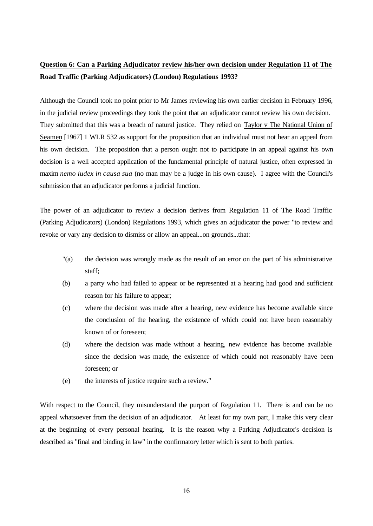# **Question 6: Can a Parking Adjudicator review his/her own decision under Regulation 11 of The Road Traffic (Parking Adjudicators) (London) Regulations 1993?**

Although the Council took no point prior to Mr James reviewing his own earlier decision in February 1996, in the judicial review proceedings they took the point that an adjudicator cannot review his own decision. They submitted that this was a breach of natural justice. They relied on Taylor v The National Union of Seamen [1967] 1 WLR 532 as support for the proposition that an individual must not hear an appeal from his own decision. The proposition that a person ought not to participate in an appeal against his own decision is a well accepted application of the fundamental principle of natural justice, often expressed in maxim *nemo iudex in causa sua* (no man may be a judge in his own cause). I agree with the Council's submission that an adjudicator performs a judicial function.

The power of an adjudicator to review a decision derives from Regulation 11 of The Road Traffic (Parking Adjudicators) (London) Regulations 1993, which gives an adjudicator the power "to review and revoke or vary any decision to dismiss or allow an appeal...on grounds...that:

- "(a) the decision was wrongly made as the result of an error on the part of his administrative staff;
- (b) a party who had failed to appear or be represented at a hearing had good and sufficient reason for his failure to appear;
- (c) where the decision was made after a hearing, new evidence has become available since the conclusion of the hearing, the existence of which could not have been reasonably known of or foreseen;
- (d) where the decision was made without a hearing, new evidence has become available since the decision was made, the existence of which could not reasonably have been foreseen; or
- (e) the interests of justice require such a review."

With respect to the Council, they misunderstand the purport of Regulation 11. There is and can be no appeal whatsoever from the decision of an adjudicator. At least for my own part, I make this very clear at the beginning of every personal hearing. It is the reason why a Parking Adjudicator's decision is described as "final and binding in law" in the confirmatory letter which is sent to both parties.